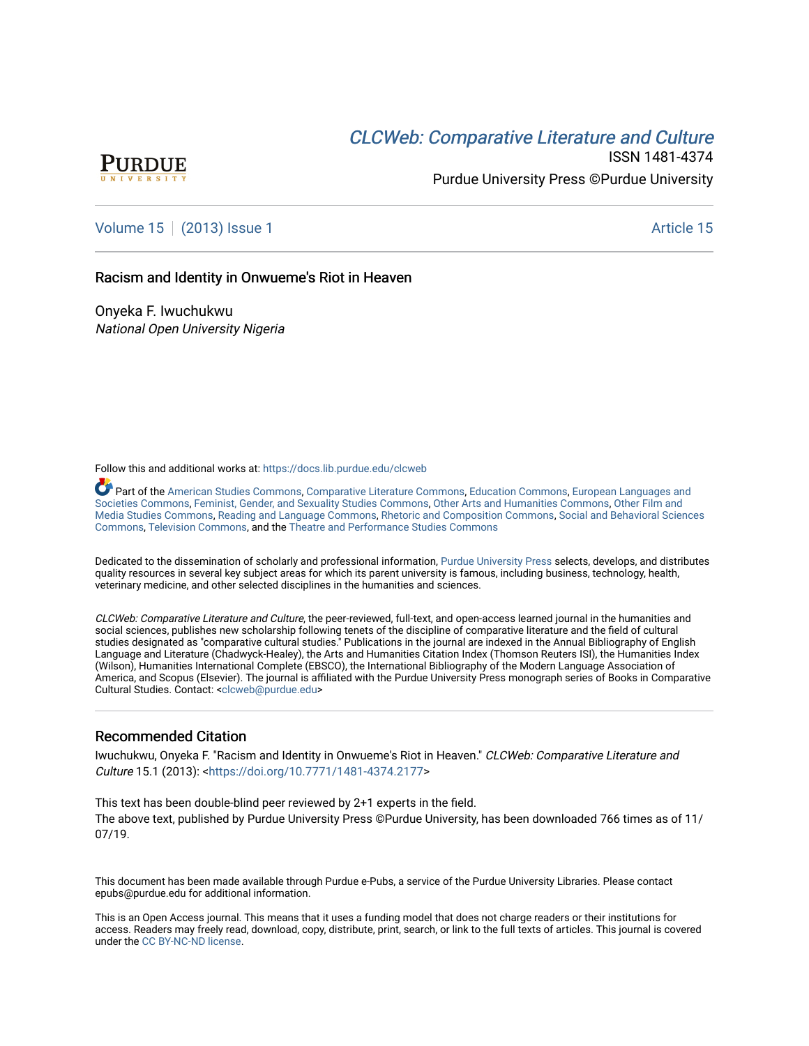## **CLCW[eb: Comparative Liter](https://docs.lib.purdue.edu/clcweb)ature and Culture**



ISSN 1481-4374 Purdue University Press ©Purdue University

## [Volume 15](https://docs.lib.purdue.edu/clcweb/vol15) | [\(2013\) Issue 1](https://docs.lib.purdue.edu/clcweb/vol15/iss1) Article 15

### Racism and Identity in Onwueme's Riot in Heaven

Onyeka F. Iwuchukwu National Open University Nigeria

Follow this and additional works at: [https://docs.lib.purdue.edu/clcweb](https://docs.lib.purdue.edu/clcweb?utm_source=docs.lib.purdue.edu%2Fclcweb%2Fvol15%2Fiss1%2F15&utm_medium=PDF&utm_campaign=PDFCoverPages)

Part of the [American Studies Commons](http://network.bepress.com/hgg/discipline/439?utm_source=docs.lib.purdue.edu%2Fclcweb%2Fvol15%2Fiss1%2F15&utm_medium=PDF&utm_campaign=PDFCoverPages), [Comparative Literature Commons,](http://network.bepress.com/hgg/discipline/454?utm_source=docs.lib.purdue.edu%2Fclcweb%2Fvol15%2Fiss1%2F15&utm_medium=PDF&utm_campaign=PDFCoverPages) [Education Commons,](http://network.bepress.com/hgg/discipline/784?utm_source=docs.lib.purdue.edu%2Fclcweb%2Fvol15%2Fiss1%2F15&utm_medium=PDF&utm_campaign=PDFCoverPages) [European Languages and](http://network.bepress.com/hgg/discipline/482?utm_source=docs.lib.purdue.edu%2Fclcweb%2Fvol15%2Fiss1%2F15&utm_medium=PDF&utm_campaign=PDFCoverPages) [Societies Commons](http://network.bepress.com/hgg/discipline/482?utm_source=docs.lib.purdue.edu%2Fclcweb%2Fvol15%2Fiss1%2F15&utm_medium=PDF&utm_campaign=PDFCoverPages), [Feminist, Gender, and Sexuality Studies Commons,](http://network.bepress.com/hgg/discipline/559?utm_source=docs.lib.purdue.edu%2Fclcweb%2Fvol15%2Fiss1%2F15&utm_medium=PDF&utm_campaign=PDFCoverPages) [Other Arts and Humanities Commons](http://network.bepress.com/hgg/discipline/577?utm_source=docs.lib.purdue.edu%2Fclcweb%2Fvol15%2Fiss1%2F15&utm_medium=PDF&utm_campaign=PDFCoverPages), [Other Film and](http://network.bepress.com/hgg/discipline/565?utm_source=docs.lib.purdue.edu%2Fclcweb%2Fvol15%2Fiss1%2F15&utm_medium=PDF&utm_campaign=PDFCoverPages)  [Media Studies Commons](http://network.bepress.com/hgg/discipline/565?utm_source=docs.lib.purdue.edu%2Fclcweb%2Fvol15%2Fiss1%2F15&utm_medium=PDF&utm_campaign=PDFCoverPages), [Reading and Language Commons](http://network.bepress.com/hgg/discipline/1037?utm_source=docs.lib.purdue.edu%2Fclcweb%2Fvol15%2Fiss1%2F15&utm_medium=PDF&utm_campaign=PDFCoverPages), [Rhetoric and Composition Commons,](http://network.bepress.com/hgg/discipline/573?utm_source=docs.lib.purdue.edu%2Fclcweb%2Fvol15%2Fiss1%2F15&utm_medium=PDF&utm_campaign=PDFCoverPages) [Social and Behavioral Sciences](http://network.bepress.com/hgg/discipline/316?utm_source=docs.lib.purdue.edu%2Fclcweb%2Fvol15%2Fiss1%2F15&utm_medium=PDF&utm_campaign=PDFCoverPages) [Commons,](http://network.bepress.com/hgg/discipline/316?utm_source=docs.lib.purdue.edu%2Fclcweb%2Fvol15%2Fiss1%2F15&utm_medium=PDF&utm_campaign=PDFCoverPages) [Television Commons,](http://network.bepress.com/hgg/discipline/1143?utm_source=docs.lib.purdue.edu%2Fclcweb%2Fvol15%2Fiss1%2F15&utm_medium=PDF&utm_campaign=PDFCoverPages) and the [Theatre and Performance Studies Commons](http://network.bepress.com/hgg/discipline/552?utm_source=docs.lib.purdue.edu%2Fclcweb%2Fvol15%2Fiss1%2F15&utm_medium=PDF&utm_campaign=PDFCoverPages)

Dedicated to the dissemination of scholarly and professional information, [Purdue University Press](http://www.thepress.purdue.edu/) selects, develops, and distributes quality resources in several key subject areas for which its parent university is famous, including business, technology, health, veterinary medicine, and other selected disciplines in the humanities and sciences.

CLCWeb: Comparative Literature and Culture, the peer-reviewed, full-text, and open-access learned journal in the humanities and social sciences, publishes new scholarship following tenets of the discipline of comparative literature and the field of cultural studies designated as "comparative cultural studies." Publications in the journal are indexed in the Annual Bibliography of English Language and Literature (Chadwyck-Healey), the Arts and Humanities Citation Index (Thomson Reuters ISI), the Humanities Index (Wilson), Humanities International Complete (EBSCO), the International Bibliography of the Modern Language Association of America, and Scopus (Elsevier). The journal is affiliated with the Purdue University Press monograph series of Books in Comparative Cultural Studies. Contact: [<clcweb@purdue.edu](mailto:clcweb@purdue.edu)>

### Recommended Citation

Iwuchukwu, Onyeka F. "Racism and Identity in Onwueme's Riot in Heaven." CLCWeb: Comparative Literature and Culture 15.1 (2013): <[https://doi.org/10.7771/1481-4374.2177>](https://doi.org/10.7771/1481-4374.2177)

This text has been double-blind peer reviewed by 2+1 experts in the field. The above text, published by Purdue University Press ©Purdue University, has been downloaded 766 times as of 11/ 07/19.

This document has been made available through Purdue e-Pubs, a service of the Purdue University Libraries. Please contact epubs@purdue.edu for additional information.

This is an Open Access journal. This means that it uses a funding model that does not charge readers or their institutions for access. Readers may freely read, download, copy, distribute, print, search, or link to the full texts of articles. This journal is covered under the [CC BY-NC-ND license.](https://creativecommons.org/licenses/by-nc-nd/4.0/)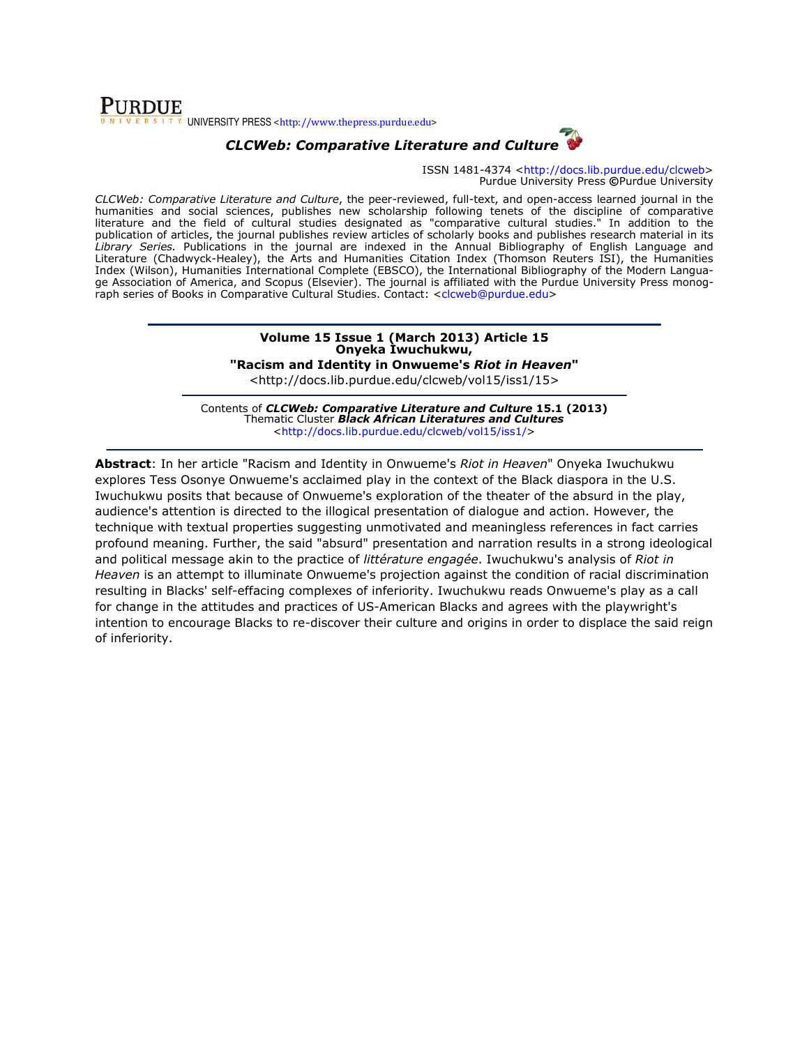### **PURDUE**  $\sqrt{s+1}$  UNIVERSITY PRESS <http://www.thepress.purdue.edu>

# CLCWeb: Comparative Literature and Culture



ISSN 1481-4374 <http://docs.lib.purdue.edu/clcweb> Purdue University Press ©Purdue University

CLCWeb: Comparative Literature and Culture, the peer-reviewed, full-text, and open-access learned journal in the humanities and social sciences, publishes new scholarship following tenets of the discipline of comparative literature and the field of cultural studies designated as "comparative cultural studies." In addition to the publication of articles, the journal publishes review articles of scholarly books and publishes research material in its Library Series. Publications in the journal are indexed in the Annual Bibliography of English Language and Literature (Chadwyck-Healey), the Arts and Humanities Citation Index (Thomson Reuters ISI), the Humanities Index (Wilson), Humanities International Complete (EBSCO), the International Bibliography of the Modern Language Association of America, and Scopus (Elsevier). The journal is affiliated with the Purdue University Press monograph series of Books in Comparative Cultural Studies. Contact: <clcweb@purdue.edu>

### Volume 15 Issue 1 (March 2013) Article 15 Onyeka Iwuchukwu,

"Racism and Identity in Onwueme's Riot in Heaven"

<http://docs.lib.purdue.edu/clcweb/vol15/iss1/15>

Contents of CLCWeb: Comparative Literature and Culture 15.1 (2013) Thematic Cluster **Black African Literatures and Cultures** <http://docs.lib.purdue.edu/clcweb/vol15/iss1/>

Abstract: In her article "Racism and Identity in Onwueme's Riot in Heaven" Onyeka Iwuchukwu explores Tess Osonye Onwueme's acclaimed play in the context of the Black diaspora in the U.S. Iwuchukwu posits that because of Onwueme's exploration of the theater of the absurd in the play, audience's attention is directed to the illogical presentation of dialogue and action. However, the technique with textual properties suggesting unmotivated and meaningless references in fact carries profound meaning. Further, the said "absurd" presentation and narration results in a strong ideological and political message akin to the practice of littérature engagée. Iwuchukwu's analysis of Riot in Heaven is an attempt to illuminate Onwueme's projection against the condition of racial discrimination resulting in Blacks' self-effacing complexes of inferiority. Iwuchukwu reads Onwueme's play as a call for change in the attitudes and practices of US-American Blacks and agrees with the playwright's intention to encourage Blacks to re-discover their culture and origins in order to displace the said reign of inferiority.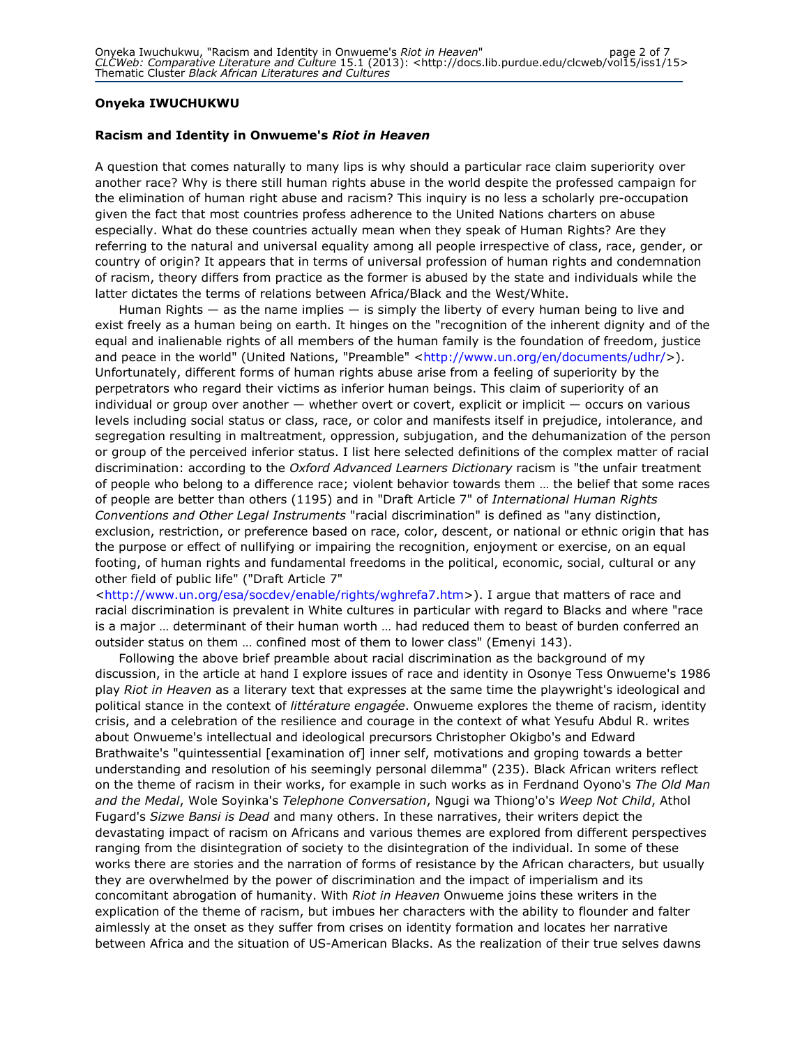### Onyeka IWUCHUKWU

### Racism and Identity in Onwueme's Riot in Heaven

A question that comes naturally to many lips is why should a particular race claim superiority over another race? Why is there still human rights abuse in the world despite the professed campaign for the elimination of human right abuse and racism? This inquiry is no less a scholarly pre-occupation given the fact that most countries profess adherence to the United Nations charters on abuse especially. What do these countries actually mean when they speak of Human Rights? Are they referring to the natural and universal equality among all people irrespective of class, race, gender, or country of origin? It appears that in terms of universal profession of human rights and condemnation of racism, theory differs from practice as the former is abused by the state and individuals while the latter dictates the terms of relations between Africa/Black and the West/White.

Human Rights  $-$  as the name implies  $-$  is simply the liberty of every human being to live and exist freely as a human being on earth. It hinges on the "recognition of the inherent dignity and of the equal and inalienable rights of all members of the human family is the foundation of freedom, justice and peace in the world" (United Nations, "Preamble" <http://www.un.org/en/documents/udhr/>). Unfortunately, different forms of human rights abuse arise from a feeling of superiority by the perpetrators who regard their victims as inferior human beings. This claim of superiority of an individual or group over another — whether overt or covert, explicit or implicit — occurs on various levels including social status or class, race, or color and manifests itself in prejudice, intolerance, and segregation resulting in maltreatment, oppression, subjugation, and the dehumanization of the person or group of the perceived inferior status. I list here selected definitions of the complex matter of racial discrimination: according to the Oxford Advanced Learners Dictionary racism is "the unfair treatment of people who belong to a difference race; violent behavior towards them … the belief that some races of people are better than others (1195) and in "Draft Article 7" of International Human Rights Conventions and Other Legal Instruments "racial discrimination" is defined as "any distinction, exclusion, restriction, or preference based on race, color, descent, or national or ethnic origin that has the purpose or effect of nullifying or impairing the recognition, enjoyment or exercise, on an equal footing, of human rights and fundamental freedoms in the political, economic, social, cultural or any other field of public life" ("Draft Article 7"

<http://www.un.org/esa/socdev/enable/rights/wghrefa7.htm>). I argue that matters of race and racial discrimination is prevalent in White cultures in particular with regard to Blacks and where "race is a major … determinant of their human worth … had reduced them to beast of burden conferred an outsider status on them … confined most of them to lower class" (Emenyi 143).

Following the above brief preamble about racial discrimination as the background of my discussion, in the article at hand I explore issues of race and identity in Osonye Tess Onwueme's 1986 play Riot in Heaven as a literary text that expresses at the same time the playwright's ideological and political stance in the context of *littérature engagée*. Onwueme explores the theme of racism, identity crisis, and a celebration of the resilience and courage in the context of what Yesufu Abdul R. writes about Onwueme's intellectual and ideological precursors Christopher Okigbo's and Edward Brathwaite's "quintessential [examination of] inner self, motivations and groping towards a better understanding and resolution of his seemingly personal dilemma" (235). Black African writers reflect on the theme of racism in their works, for example in such works as in Ferdnand Oyono's The Old Man and the Medal, Wole Soyinka's Telephone Conversation, Ngugi wa Thiong'o's Weep Not Child, Athol Fugard's Sizwe Bansi is Dead and many others. In these narratives, their writers depict the devastating impact of racism on Africans and various themes are explored from different perspectives ranging from the disintegration of society to the disintegration of the individual. In some of these works there are stories and the narration of forms of resistance by the African characters, but usually they are overwhelmed by the power of discrimination and the impact of imperialism and its concomitant abrogation of humanity. With Riot in Heaven Onwueme joins these writers in the explication of the theme of racism, but imbues her characters with the ability to flounder and falter aimlessly at the onset as they suffer from crises on identity formation and locates her narrative between Africa and the situation of US-American Blacks. As the realization of their true selves dawns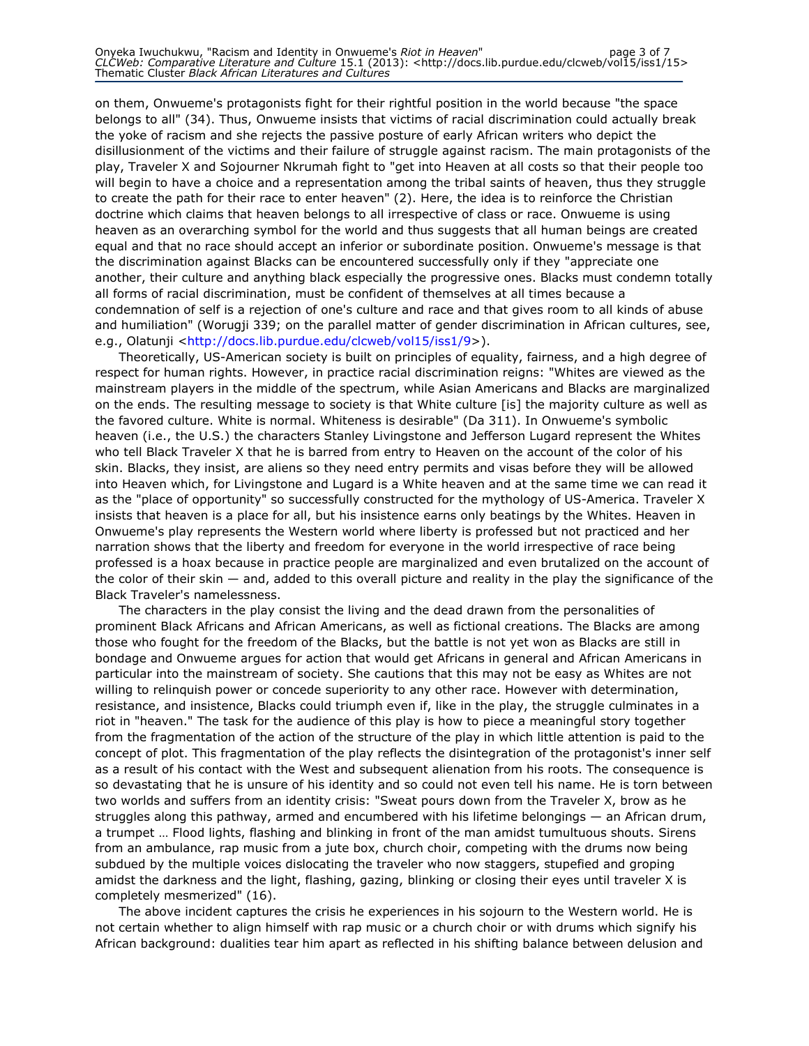on them, Onwueme's protagonists fight for their rightful position in the world because "the space belongs to all" (34). Thus, Onwueme insists that victims of racial discrimination could actually break the yoke of racism and she rejects the passive posture of early African writers who depict the disillusionment of the victims and their failure of struggle against racism. The main protagonists of the play, Traveler X and Sojourner Nkrumah fight to "get into Heaven at all costs so that their people too will begin to have a choice and a representation among the tribal saints of heaven, thus they struggle to create the path for their race to enter heaven" (2). Here, the idea is to reinforce the Christian doctrine which claims that heaven belongs to all irrespective of class or race. Onwueme is using heaven as an overarching symbol for the world and thus suggests that all human beings are created equal and that no race should accept an inferior or subordinate position. Onwueme's message is that the discrimination against Blacks can be encountered successfully only if they "appreciate one another, their culture and anything black especially the progressive ones. Blacks must condemn totally all forms of racial discrimination, must be confident of themselves at all times because a condemnation of self is a rejection of one's culture and race and that gives room to all kinds of abuse and humiliation" (Worugji 339; on the parallel matter of gender discrimination in African cultures, see, e.g., Olatunji <http://docs.lib.purdue.edu/clcweb/vol15/iss1/9>).

Theoretically, US-American society is built on principles of equality, fairness, and a high degree of respect for human rights. However, in practice racial discrimination reigns: "Whites are viewed as the mainstream players in the middle of the spectrum, while Asian Americans and Blacks are marginalized on the ends. The resulting message to society is that White culture [is] the majority culture as well as the favored culture. White is normal. Whiteness is desirable" (Da 311). In Onwueme's symbolic heaven (i.e., the U.S.) the characters Stanley Livingstone and Jefferson Lugard represent the Whites who tell Black Traveler X that he is barred from entry to Heaven on the account of the color of his skin. Blacks, they insist, are aliens so they need entry permits and visas before they will be allowed into Heaven which, for Livingstone and Lugard is a White heaven and at the same time we can read it as the "place of opportunity" so successfully constructed for the mythology of US-America. Traveler X insists that heaven is a place for all, but his insistence earns only beatings by the Whites. Heaven in Onwueme's play represents the Western world where liberty is professed but not practiced and her narration shows that the liberty and freedom for everyone in the world irrespective of race being professed is a hoax because in practice people are marginalized and even brutalized on the account of the color of their skin — and, added to this overall picture and reality in the play the significance of the Black Traveler's namelessness.

The characters in the play consist the living and the dead drawn from the personalities of prominent Black Africans and African Americans, as well as fictional creations. The Blacks are among those who fought for the freedom of the Blacks, but the battle is not yet won as Blacks are still in bondage and Onwueme argues for action that would get Africans in general and African Americans in particular into the mainstream of society. She cautions that this may not be easy as Whites are not willing to relinquish power or concede superiority to any other race. However with determination, resistance, and insistence, Blacks could triumph even if, like in the play, the struggle culminates in a riot in "heaven." The task for the audience of this play is how to piece a meaningful story together from the fragmentation of the action of the structure of the play in which little attention is paid to the concept of plot. This fragmentation of the play reflects the disintegration of the protagonist's inner self as a result of his contact with the West and subsequent alienation from his roots. The consequence is so devastating that he is unsure of his identity and so could not even tell his name. He is torn between two worlds and suffers from an identity crisis: "Sweat pours down from the Traveler X, brow as he struggles along this pathway, armed and encumbered with his lifetime belongings — an African drum, a trumpet … Flood lights, flashing and blinking in front of the man amidst tumultuous shouts. Sirens from an ambulance, rap music from a jute box, church choir, competing with the drums now being subdued by the multiple voices dislocating the traveler who now staggers, stupefied and groping amidst the darkness and the light, flashing, gazing, blinking or closing their eyes until traveler X is completely mesmerized" (16).

The above incident captures the crisis he experiences in his sojourn to the Western world. He is not certain whether to align himself with rap music or a church choir or with drums which signify his African background: dualities tear him apart as reflected in his shifting balance between delusion and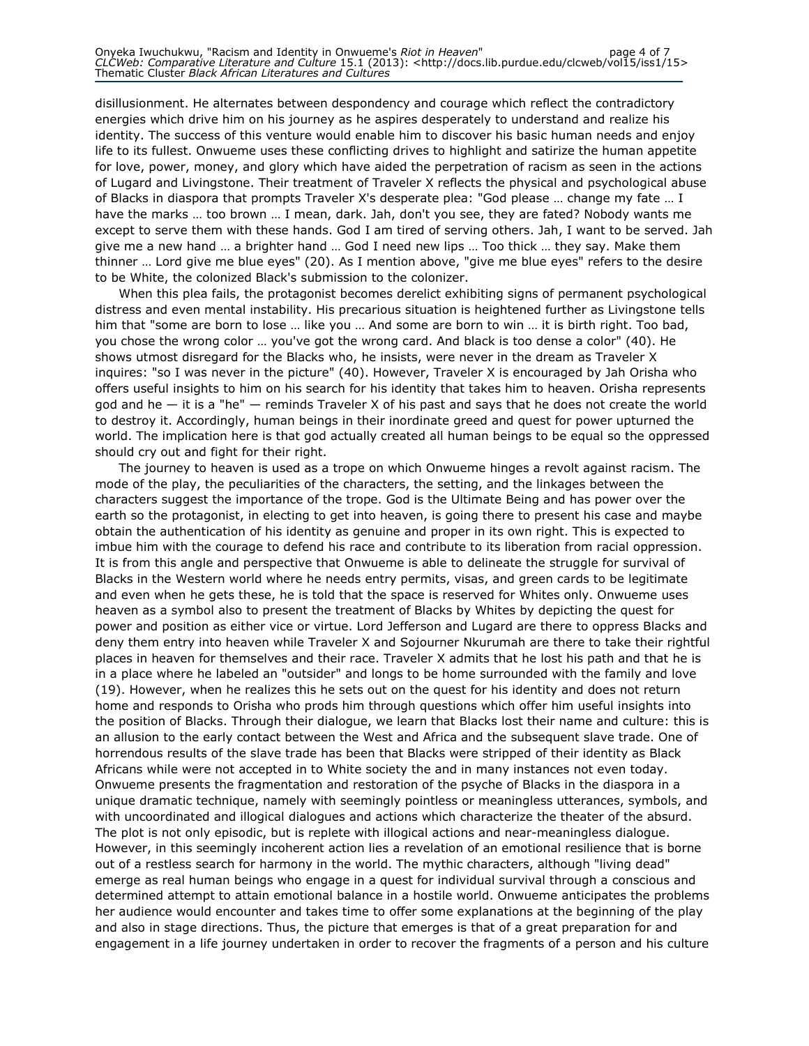disillusionment. He alternates between despondency and courage which reflect the contradictory energies which drive him on his journey as he aspires desperately to understand and realize his identity. The success of this venture would enable him to discover his basic human needs and enjoy life to its fullest. Onwueme uses these conflicting drives to highlight and satirize the human appetite for love, power, money, and glory which have aided the perpetration of racism as seen in the actions of Lugard and Livingstone. Their treatment of Traveler X reflects the physical and psychological abuse of Blacks in diaspora that prompts Traveler X's desperate plea: "God please … change my fate … I have the marks … too brown … I mean, dark. Jah, don't you see, they are fated? Nobody wants me except to serve them with these hands. God I am tired of serving others. Jah, I want to be served. Jah give me a new hand … a brighter hand … God I need new lips … Too thick … they say. Make them thinner … Lord give me blue eyes" (20). As I mention above, "give me blue eyes" refers to the desire to be White, the colonized Black's submission to the colonizer.

When this plea fails, the protagonist becomes derelict exhibiting signs of permanent psychological distress and even mental instability. His precarious situation is heightened further as Livingstone tells him that "some are born to lose … like you … And some are born to win … it is birth right. Too bad, you chose the wrong color … you've got the wrong card. And black is too dense a color" (40). He shows utmost disregard for the Blacks who, he insists, were never in the dream as Traveler X inquires: "so I was never in the picture" (40). However, Traveler X is encouraged by Jah Orisha who offers useful insights to him on his search for his identity that takes him to heaven. Orisha represents god and he — it is a "he" — reminds Traveler X of his past and says that he does not create the world to destroy it. Accordingly, human beings in their inordinate greed and quest for power upturned the world. The implication here is that god actually created all human beings to be equal so the oppressed should cry out and fight for their right.

The journey to heaven is used as a trope on which Onwueme hinges a revolt against racism. The mode of the play, the peculiarities of the characters, the setting, and the linkages between the characters suggest the importance of the trope. God is the Ultimate Being and has power over the earth so the protagonist, in electing to get into heaven, is going there to present his case and maybe obtain the authentication of his identity as genuine and proper in its own right. This is expected to imbue him with the courage to defend his race and contribute to its liberation from racial oppression. It is from this angle and perspective that Onwueme is able to delineate the struggle for survival of Blacks in the Western world where he needs entry permits, visas, and green cards to be legitimate and even when he gets these, he is told that the space is reserved for Whites only. Onwueme uses heaven as a symbol also to present the treatment of Blacks by Whites by depicting the quest for power and position as either vice or virtue. Lord Jefferson and Lugard are there to oppress Blacks and deny them entry into heaven while Traveler X and Sojourner Nkurumah are there to take their rightful places in heaven for themselves and their race. Traveler X admits that he lost his path and that he is in a place where he labeled an "outsider" and longs to be home surrounded with the family and love (19). However, when he realizes this he sets out on the quest for his identity and does not return home and responds to Orisha who prods him through questions which offer him useful insights into the position of Blacks. Through their dialogue, we learn that Blacks lost their name and culture: this is an allusion to the early contact between the West and Africa and the subsequent slave trade. One of horrendous results of the slave trade has been that Blacks were stripped of their identity as Black Africans while were not accepted in to White society the and in many instances not even today. Onwueme presents the fragmentation and restoration of the psyche of Blacks in the diaspora in a unique dramatic technique, namely with seemingly pointless or meaningless utterances, symbols, and with uncoordinated and illogical dialogues and actions which characterize the theater of the absurd. The plot is not only episodic, but is replete with illogical actions and near-meaningless dialogue. However, in this seemingly incoherent action lies a revelation of an emotional resilience that is borne out of a restless search for harmony in the world. The mythic characters, although "living dead" emerge as real human beings who engage in a quest for individual survival through a conscious and determined attempt to attain emotional balance in a hostile world. Onwueme anticipates the problems her audience would encounter and takes time to offer some explanations at the beginning of the play and also in stage directions. Thus, the picture that emerges is that of a great preparation for and engagement in a life journey undertaken in order to recover the fragments of a person and his culture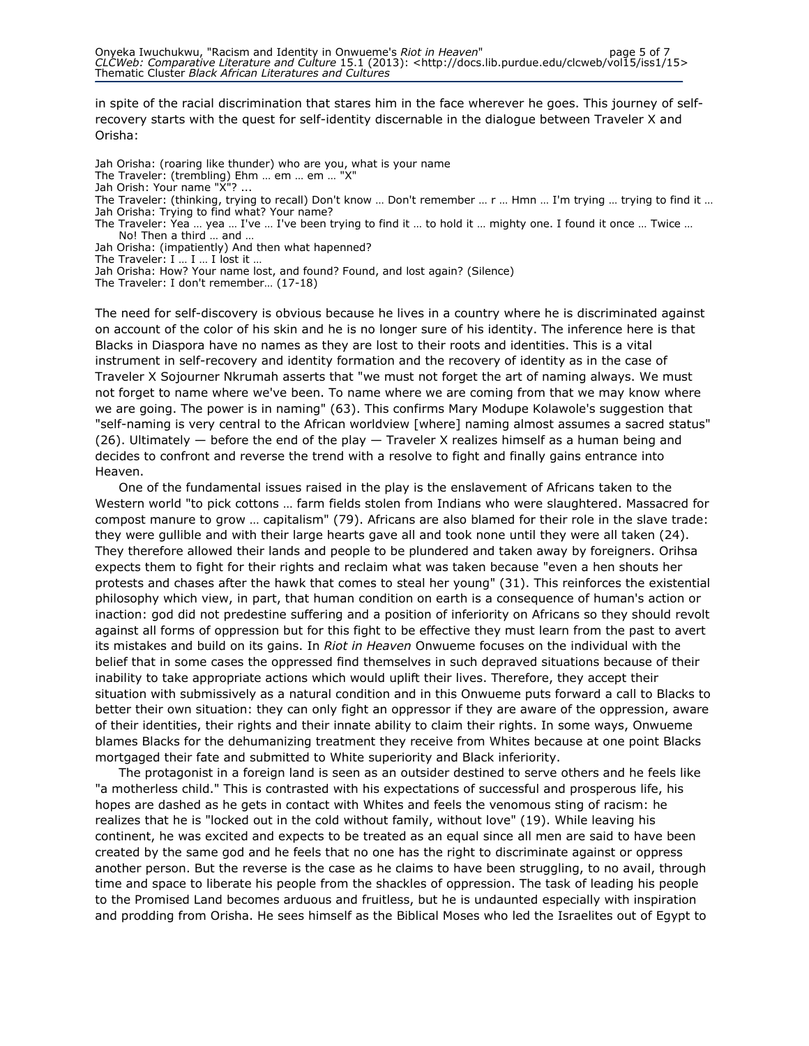in spite of the racial discrimination that stares him in the face wherever he goes. This journey of selfrecovery starts with the quest for self-identity discernable in the dialogue between Traveler X and Orisha:

- Jah Orisha: (roaring like thunder) who are you, what is your name
- The Traveler: (trembling) Ehm … em … em … "X"
- Jah Orish: Your name "X"? ...
- The Traveler: (thinking, trying to recall) Don't know … Don't remember … r … Hmn … I'm trying … trying to find it … Jah Orisha: Trying to find what? Your name?
- The Traveler: Yea ... yea ... I've ... I've been trying to find it ... to hold it ... mighty one. I found it once ... Twice ... No! Then a third … and …
- Jah Orisha: (impatiently) And then what hapenned?

The Traveler: I … I … I lost it …

Jah Orisha: How? Your name lost, and found? Found, and lost again? (Silence)

The Traveler: I don't remember… (17-18)

The need for self-discovery is obvious because he lives in a country where he is discriminated against on account of the color of his skin and he is no longer sure of his identity. The inference here is that Blacks in Diaspora have no names as they are lost to their roots and identities. This is a vital instrument in self-recovery and identity formation and the recovery of identity as in the case of Traveler X Sojourner Nkrumah asserts that "we must not forget the art of naming always. We must not forget to name where we've been. To name where we are coming from that we may know where we are going. The power is in naming" (63). This confirms Mary Modupe Kolawole's suggestion that "self-naming is very central to the African worldview [where] naming almost assumes a sacred status"  $(26)$ . Ultimately  $-$  before the end of the play  $-$  Traveler X realizes himself as a human being and decides to confront and reverse the trend with a resolve to fight and finally gains entrance into Heaven.

One of the fundamental issues raised in the play is the enslavement of Africans taken to the Western world "to pick cottons … farm fields stolen from Indians who were slaughtered. Massacred for compost manure to grow … capitalism" (79). Africans are also blamed for their role in the slave trade: they were gullible and with their large hearts gave all and took none until they were all taken (24). They therefore allowed their lands and people to be plundered and taken away by foreigners. Orihsa expects them to fight for their rights and reclaim what was taken because "even a hen shouts her protests and chases after the hawk that comes to steal her young" (31). This reinforces the existential philosophy which view, in part, that human condition on earth is a consequence of human's action or inaction: god did not predestine suffering and a position of inferiority on Africans so they should revolt against all forms of oppression but for this fight to be effective they must learn from the past to avert its mistakes and build on its gains. In Riot in Heaven Onwueme focuses on the individual with the belief that in some cases the oppressed find themselves in such depraved situations because of their inability to take appropriate actions which would uplift their lives. Therefore, they accept their situation with submissively as a natural condition and in this Onwueme puts forward a call to Blacks to better their own situation: they can only fight an oppressor if they are aware of the oppression, aware of their identities, their rights and their innate ability to claim their rights. In some ways, Onwueme blames Blacks for the dehumanizing treatment they receive from Whites because at one point Blacks mortgaged their fate and submitted to White superiority and Black inferiority.

The protagonist in a foreign land is seen as an outsider destined to serve others and he feels like "a motherless child." This is contrasted with his expectations of successful and prosperous life, his hopes are dashed as he gets in contact with Whites and feels the venomous sting of racism: he realizes that he is "locked out in the cold without family, without love" (19). While leaving his continent, he was excited and expects to be treated as an equal since all men are said to have been created by the same god and he feels that no one has the right to discriminate against or oppress another person. But the reverse is the case as he claims to have been struggling, to no avail, through time and space to liberate his people from the shackles of oppression. The task of leading his people to the Promised Land becomes arduous and fruitless, but he is undaunted especially with inspiration and prodding from Orisha. He sees himself as the Biblical Moses who led the Israelites out of Egypt to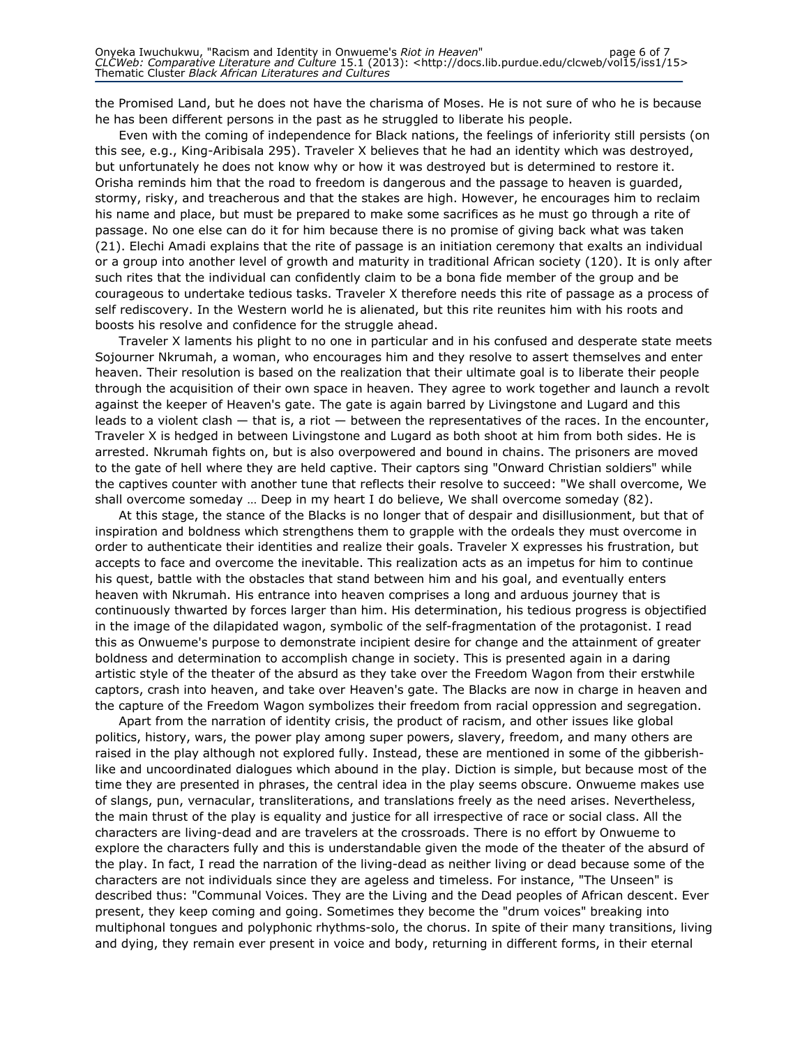the Promised Land, but he does not have the charisma of Moses. He is not sure of who he is because he has been different persons in the past as he struggled to liberate his people.

Even with the coming of independence for Black nations, the feelings of inferiority still persists (on this see, e.g., King-Aribisala 295). Traveler X believes that he had an identity which was destroyed, but unfortunately he does not know why or how it was destroyed but is determined to restore it. Orisha reminds him that the road to freedom is dangerous and the passage to heaven is guarded, stormy, risky, and treacherous and that the stakes are high. However, he encourages him to reclaim his name and place, but must be prepared to make some sacrifices as he must go through a rite of passage. No one else can do it for him because there is no promise of giving back what was taken (21). Elechi Amadi explains that the rite of passage is an initiation ceremony that exalts an individual or a group into another level of growth and maturity in traditional African society (120). It is only after such rites that the individual can confidently claim to be a bona fide member of the group and be courageous to undertake tedious tasks. Traveler X therefore needs this rite of passage as a process of self rediscovery. In the Western world he is alienated, but this rite reunites him with his roots and boosts his resolve and confidence for the struggle ahead.

Traveler X laments his plight to no one in particular and in his confused and desperate state meets Sojourner Nkrumah, a woman, who encourages him and they resolve to assert themselves and enter heaven. Their resolution is based on the realization that their ultimate goal is to liberate their people through the acquisition of their own space in heaven. They agree to work together and launch a revolt against the keeper of Heaven's gate. The gate is again barred by Livingstone and Lugard and this leads to a violent clash  $-$  that is, a riot  $-$  between the representatives of the races. In the encounter, Traveler X is hedged in between Livingstone and Lugard as both shoot at him from both sides. He is arrested. Nkrumah fights on, but is also overpowered and bound in chains. The prisoners are moved to the gate of hell where they are held captive. Their captors sing "Onward Christian soldiers" while the captives counter with another tune that reflects their resolve to succeed: "We shall overcome, We shall overcome someday … Deep in my heart I do believe, We shall overcome someday (82).

At this stage, the stance of the Blacks is no longer that of despair and disillusionment, but that of inspiration and boldness which strengthens them to grapple with the ordeals they must overcome in order to authenticate their identities and realize their goals. Traveler X expresses his frustration, but accepts to face and overcome the inevitable. This realization acts as an impetus for him to continue his quest, battle with the obstacles that stand between him and his goal, and eventually enters heaven with Nkrumah. His entrance into heaven comprises a long and arduous journey that is continuously thwarted by forces larger than him. His determination, his tedious progress is objectified in the image of the dilapidated wagon, symbolic of the self-fragmentation of the protagonist. I read this as Onwueme's purpose to demonstrate incipient desire for change and the attainment of greater boldness and determination to accomplish change in society. This is presented again in a daring artistic style of the theater of the absurd as they take over the Freedom Wagon from their erstwhile captors, crash into heaven, and take over Heaven's gate. The Blacks are now in charge in heaven and the capture of the Freedom Wagon symbolizes their freedom from racial oppression and segregation.

Apart from the narration of identity crisis, the product of racism, and other issues like global politics, history, wars, the power play among super powers, slavery, freedom, and many others are raised in the play although not explored fully. Instead, these are mentioned in some of the gibberishlike and uncoordinated dialogues which abound in the play. Diction is simple, but because most of the time they are presented in phrases, the central idea in the play seems obscure. Onwueme makes use of slangs, pun, vernacular, transliterations, and translations freely as the need arises. Nevertheless, the main thrust of the play is equality and justice for all irrespective of race or social class. All the characters are living-dead and are travelers at the crossroads. There is no effort by Onwueme to explore the characters fully and this is understandable given the mode of the theater of the absurd of the play. In fact, I read the narration of the living-dead as neither living or dead because some of the characters are not individuals since they are ageless and timeless. For instance, "The Unseen" is described thus: "Communal Voices. They are the Living and the Dead peoples of African descent. Ever present, they keep coming and going. Sometimes they become the "drum voices" breaking into multiphonal tongues and polyphonic rhythms-solo, the chorus. In spite of their many transitions, living and dying, they remain ever present in voice and body, returning in different forms, in their eternal